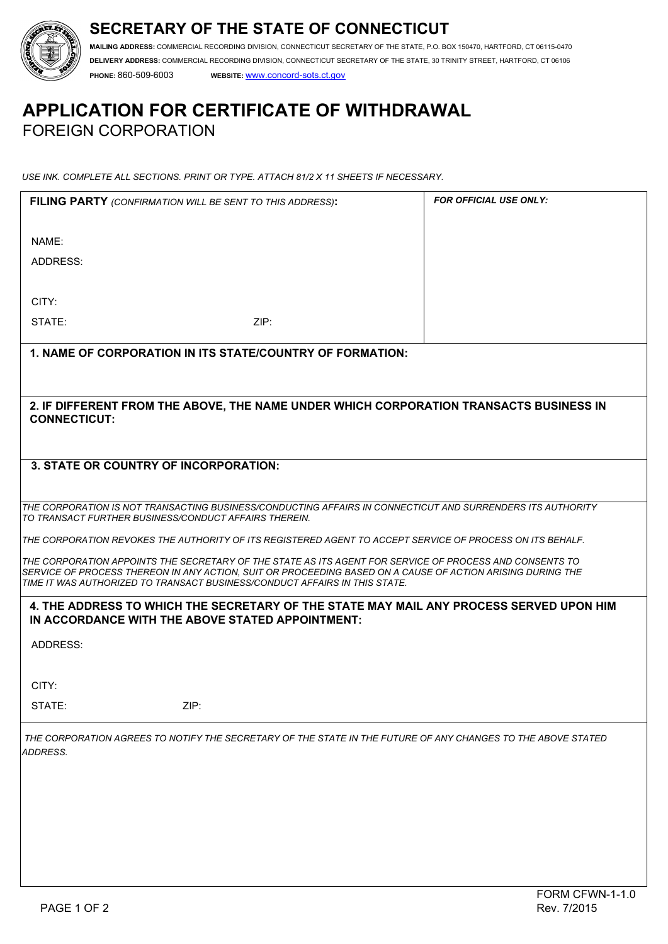



**MAILING ADDRESS:** COMMERCIAL RECORDING DIVISION, CONNECTICUT SECRETARY OF THE STATE, P.O. BOX 150470, HARTFORD, CT 06115-0470 **DELIVERY ADDRESS:** COMMERCIAL RECORDING DIVISION, CONNECTICUT SECRETARY OF THE STATE, 30 TRINITY STREET, HARTFORD, CT 06106 **PHONE:** 860-509-6003 **WEBSITE:** www.concord-sots.ct.gov

# **APPLICATION FOR CERTIFICATE OF WITHDRAWAL**  FOREIGN CORPORATION

*USE INK. COMPLETE ALL SECTIONS. PRINT OR TYPE. ATTACH 81/2 X 11 SHEETS IF NECESSARY.*

|                                                                                                                                                                                          | FILING PARTY (CONFIRMATION WILL BE SENT TO THIS ADDRESS):                                                    | <b>FOR OFFICIAL USE ONLY:</b>                                                           |  |  |
|------------------------------------------------------------------------------------------------------------------------------------------------------------------------------------------|--------------------------------------------------------------------------------------------------------------|-----------------------------------------------------------------------------------------|--|--|
|                                                                                                                                                                                          |                                                                                                              |                                                                                         |  |  |
| NAME:                                                                                                                                                                                    |                                                                                                              |                                                                                         |  |  |
| ADDRESS:                                                                                                                                                                                 |                                                                                                              |                                                                                         |  |  |
|                                                                                                                                                                                          |                                                                                                              |                                                                                         |  |  |
| CITY:                                                                                                                                                                                    |                                                                                                              |                                                                                         |  |  |
| STATE:                                                                                                                                                                                   | ZIP:                                                                                                         |                                                                                         |  |  |
|                                                                                                                                                                                          |                                                                                                              |                                                                                         |  |  |
|                                                                                                                                                                                          | 1. NAME OF CORPORATION IN ITS STATE/COUNTRY OF FORMATION:                                                    |                                                                                         |  |  |
|                                                                                                                                                                                          |                                                                                                              |                                                                                         |  |  |
|                                                                                                                                                                                          |                                                                                                              |                                                                                         |  |  |
| 2. IF DIFFERENT FROM THE ABOVE, THE NAME UNDER WHICH CORPORATION TRANSACTS BUSINESS IN                                                                                                   |                                                                                                              |                                                                                         |  |  |
| <b>CONNECTICUT:</b>                                                                                                                                                                      |                                                                                                              |                                                                                         |  |  |
|                                                                                                                                                                                          |                                                                                                              |                                                                                         |  |  |
|                                                                                                                                                                                          | 3. STATE OR COUNTRY OF INCORPORATION:                                                                        |                                                                                         |  |  |
|                                                                                                                                                                                          |                                                                                                              |                                                                                         |  |  |
|                                                                                                                                                                                          | THE CORPORATION IS NOT TRANSACTING BUSINESS/CONDUCTING AFFAIRS IN CONNECTICUT AND SURRENDERS ITS AUTHORITY   |                                                                                         |  |  |
|                                                                                                                                                                                          | TO TRANSACT FURTHER BUSINESS/CONDUCT AFFAIRS THEREIN.                                                        |                                                                                         |  |  |
| THE CORPORATION REVOKES THE AUTHORITY OF ITS REGISTERED AGENT TO ACCEPT SERVICE OF PROCESS ON ITS BEHALF.                                                                                |                                                                                                              |                                                                                         |  |  |
| THE CORPORATION APPOINTS THE SECRETARY OF THE STATE AS ITS AGENT FOR SERVICE OF PROCESS AND CONSENTS TO                                                                                  |                                                                                                              |                                                                                         |  |  |
| SERVICE OF PROCESS THEREON IN ANY ACTION, SUIT OR PROCEEDING BASED ON A CAUSE OF ACTION ARISING DURING THE<br>TIME IT WAS AUTHORIZED TO TRANSACT BUSINESS/CONDUCT AFFAIRS IN THIS STATE. |                                                                                                              |                                                                                         |  |  |
|                                                                                                                                                                                          |                                                                                                              |                                                                                         |  |  |
|                                                                                                                                                                                          | IN ACCORDANCE WITH THE ABOVE STATED APPOINTMENT:                                                             | 4. THE ADDRESS TO WHICH THE SECRETARY OF THE STATE MAY MAIL ANY PROCESS SERVED UPON HIM |  |  |
| ADDRESS:                                                                                                                                                                                 |                                                                                                              |                                                                                         |  |  |
|                                                                                                                                                                                          |                                                                                                              |                                                                                         |  |  |
|                                                                                                                                                                                          |                                                                                                              |                                                                                         |  |  |
| CITY:                                                                                                                                                                                    |                                                                                                              |                                                                                         |  |  |
| STATE:                                                                                                                                                                                   | ZIP:                                                                                                         |                                                                                         |  |  |
|                                                                                                                                                                                          | THE CORPORATION AGREES TO NOTIFY THE SECRETARY OF THE STATE IN THE FUTURE OF ANY CHANGES TO THE ABOVE STATED |                                                                                         |  |  |
| ADDRESS.                                                                                                                                                                                 |                                                                                                              |                                                                                         |  |  |
|                                                                                                                                                                                          |                                                                                                              |                                                                                         |  |  |
|                                                                                                                                                                                          |                                                                                                              |                                                                                         |  |  |
|                                                                                                                                                                                          |                                                                                                              |                                                                                         |  |  |
|                                                                                                                                                                                          |                                                                                                              |                                                                                         |  |  |
|                                                                                                                                                                                          |                                                                                                              |                                                                                         |  |  |
|                                                                                                                                                                                          |                                                                                                              |                                                                                         |  |  |
|                                                                                                                                                                                          |                                                                                                              |                                                                                         |  |  |
|                                                                                                                                                                                          |                                                                                                              |                                                                                         |  |  |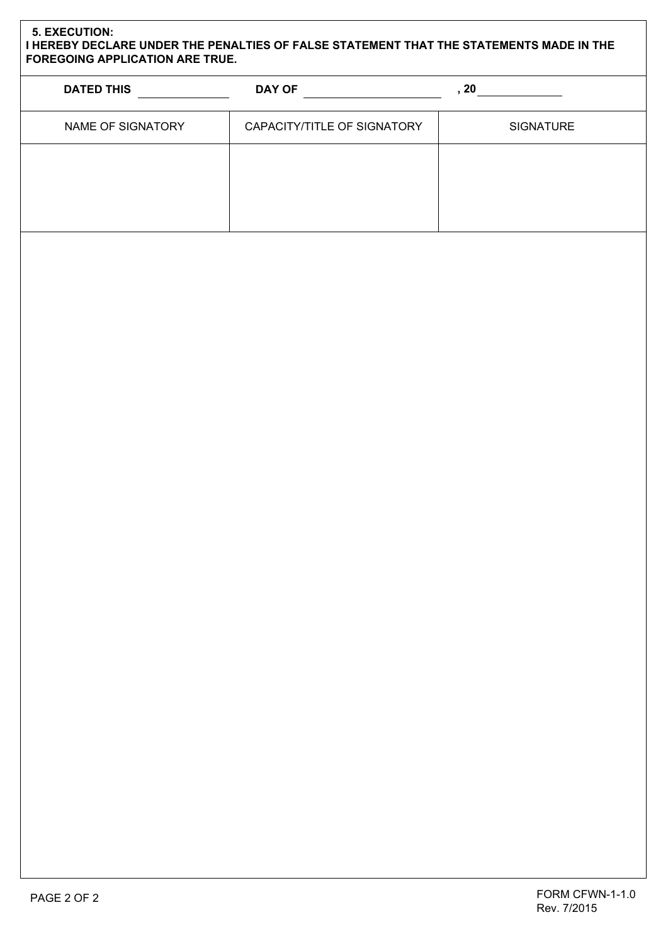## **5. EXECUTION: I HEREBY DECLARE UNDER THE PENALTIES OF FALSE STATEMENT THAT THE STATEMENTS MADE IN THE FOREGOING APPLICATION ARE TRUE.**

| <b>DATED THIS</b> | <b>DAY OF</b>               | , 20             |
|-------------------|-----------------------------|------------------|
| NAME OF SIGNATORY | CAPACITY/TITLE OF SIGNATORY | <b>SIGNATURE</b> |
|                   |                             |                  |
|                   |                             |                  |
|                   |                             |                  |